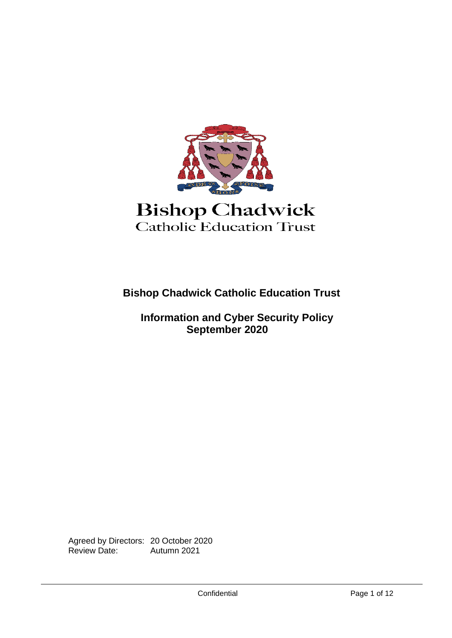

**Bishop Chadwick Catholic Education Trust**

 **Information and Cyber Security Policy September 2020**

Agreed by Directors: 20 October 2020<br>Review Date: Autumn 2021 Autumn 2021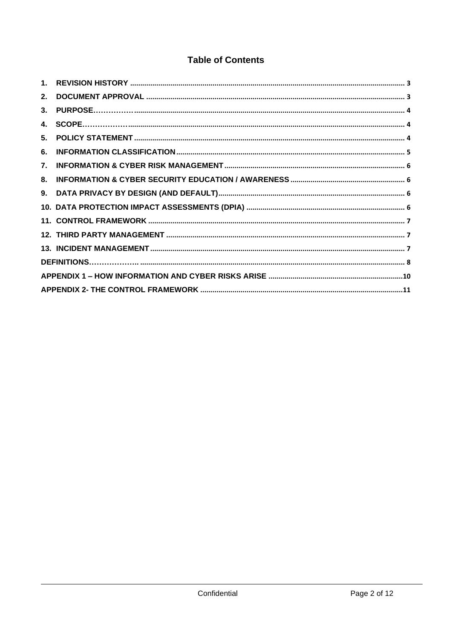# **Table of Contents**

| 2. |  |  |  |  |
|----|--|--|--|--|
|    |  |  |  |  |
|    |  |  |  |  |
| 5. |  |  |  |  |
| 6. |  |  |  |  |
| 7. |  |  |  |  |
| 8. |  |  |  |  |
|    |  |  |  |  |
|    |  |  |  |  |
|    |  |  |  |  |
|    |  |  |  |  |
|    |  |  |  |  |
|    |  |  |  |  |
|    |  |  |  |  |
|    |  |  |  |  |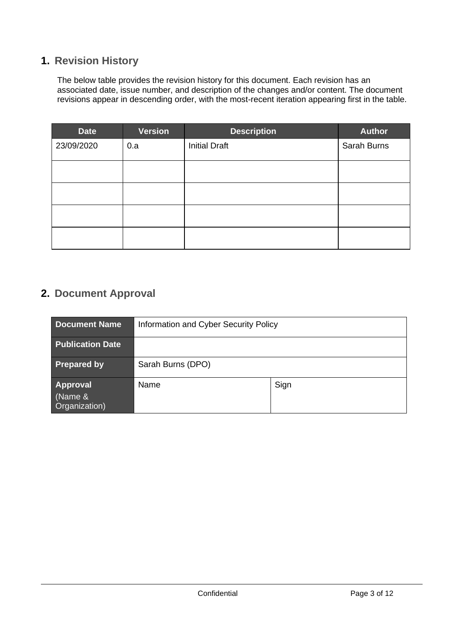## <span id="page-2-0"></span>**1. Revision History**

The below table provides the revision history for this document. Each revision has an associated date, issue number, and description of the changes and/or content. The document revisions appear in descending order, with the most-recent iteration appearing first in the table.

| Date       | Version | <b>Description</b>   | <b>Author</b> |
|------------|---------|----------------------|---------------|
| 23/09/2020 | 0.a     | <b>Initial Draft</b> | Sarah Burns   |
|            |         |                      |               |
|            |         |                      |               |
|            |         |                      |               |
|            |         |                      |               |

# <span id="page-2-1"></span>**2. Document Approval**

| <b>Document Name</b>                 | Information and Cyber Security Policy |      |  |
|--------------------------------------|---------------------------------------|------|--|
| <b>Publication Date</b>              |                                       |      |  |
| <b>Prepared by</b>                   | Sarah Burns (DPO)                     |      |  |
| Approval<br>(Name &<br>Organization) | Name                                  | Sign |  |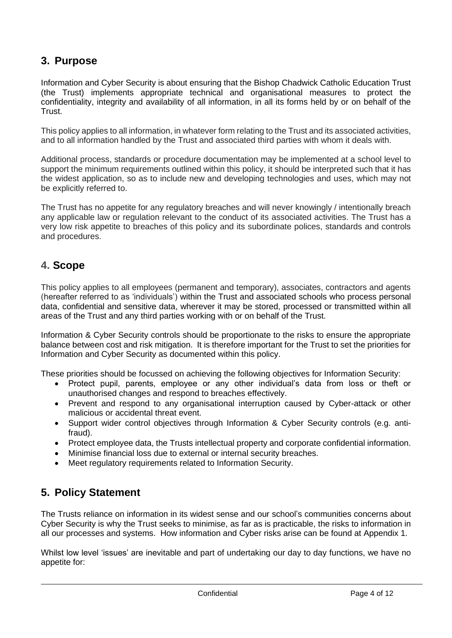# <span id="page-3-0"></span>**3. Purpose**

Information and Cyber Security is about ensuring that the Bishop Chadwick Catholic Education Trust (the Trust) implements appropriate technical and organisational measures to protect the confidentiality, integrity and availability of all information, in all its forms held by or on behalf of the Trust.

This policy applies to all information, in whatever form relating to the Trust and its associated activities, and to all information handled by the Trust and associated third parties with whom it deals with.

Additional process, standards or procedure documentation may be implemented at a school level to support the minimum requirements outlined within this policy, it should be interpreted such that it has the widest application, so as to include new and developing technologies and uses, which may not be explicitly referred to.

The Trust has no appetite for any regulatory breaches and will never knowingly / intentionally breach any applicable law or regulation relevant to the conduct of its associated activities. The Trust has a very low risk appetite to breaches of this policy and its subordinate polices, standards and controls and procedures.

## <span id="page-3-1"></span>**4. Scope**

This policy applies to all employees (permanent and temporary), associates, contractors and agents (hereafter referred to as 'individuals') within the Trust and associated schools who process personal data, confidential and sensitive data, wherever it may be stored, processed or transmitted within all areas of the Trust and any third parties working with or on behalf of the Trust.

Information & Cyber Security controls should be proportionate to the risks to ensure the appropriate balance between cost and risk mitigation. It is therefore important for the Trust to set the priorities for Information and Cyber Security as documented within this policy.

These priorities should be focussed on achieving the following objectives for Information Security:

- Protect pupil, parents, employee or any other individual's data from loss or theft or unauthorised changes and respond to breaches effectively.
- Prevent and respond to any organisational interruption caused by Cyber-attack or other malicious or accidental threat event.
- Support wider control objectives through Information & Cyber Security controls (e.g. antifraud).
- Protect employee data, the Trusts intellectual property and corporate confidential information.
- Minimise financial loss due to external or internal security breaches.
- Meet regulatory requirements related to Information Security.

## <span id="page-3-2"></span>**5. Policy Statement**

The Trusts reliance on information in its widest sense and our school's communities concerns about Cyber Security is why the Trust seeks to minimise, as far as is practicable, the risks to information in all our processes and systems. How information and Cyber risks arise can be found at Appendix 1.

Whilst low level 'issues' are inevitable and part of undertaking our day to day functions, we have no appetite for: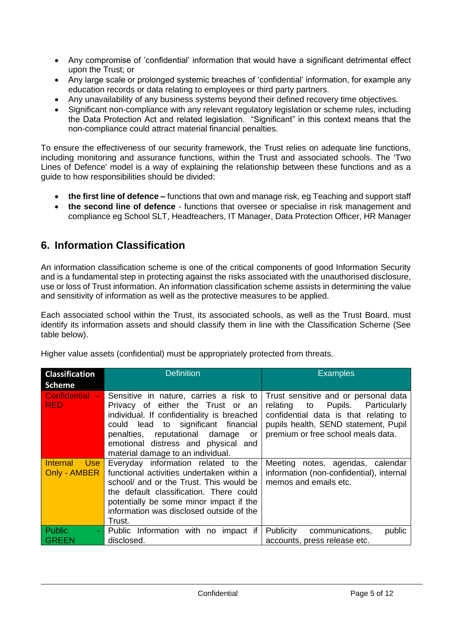- Any compromise of 'confidential' information that would have a significant detrimental effect upon the Trust; or
- Any large scale or prolonged systemic breaches of 'confidential' information, for example any education records or data relating to employees or third party partners.
- Any unavailability of any business systems beyond their defined recovery time objectives.
- Significant non-compliance with any relevant regulatory legislation or scheme rules, including the Data Protection Act and related legislation. "Significant" in this context means that the non-compliance could attract material financial penalties.

To ensure the effectiveness of our security framework, the Trust relies on adequate line functions, including monitoring and assurance functions, within the Trust and associated schools. The 'Two Lines of Defence' model is a way of explaining the relationship between these functions and as a guide to how responsibilities should be divided:

- **the first line of defence –** functions that own and manage risk, eg Teaching and support staff
- **the second line of defence** functions that oversee or specialise in risk management and compliance eg School SLT, Headteachers, IT Manager, Data Protection Officer, HR Manager

# <span id="page-4-0"></span>**6. Information Classification**

An information classification scheme is one of the critical components of good Information Security and is a fundamental step in protecting against the risks associated with the unauthorised disclosure, use or loss of Trust information. An information classification scheme assists in determining the value and sensitivity of information as well as the protective measures to be applied.

Each associated school within the Trust, its associated schools, as well as the Trust Board, must identify its information assets and should classify them in line with the Classification Scheme (See table below).

|  |  |  | Higher value assets (confidential) must be appropriately protected from threats. |
|--|--|--|----------------------------------------------------------------------------------|
|  |  |  |                                                                                  |
|  |  |  |                                                                                  |
|  |  |  |                                                                                  |

| <b>Classification</b>                         | <b>Definition</b>                                                                                                                                                                                                                                                                    | <b>Examples</b>                                                                                                                                                                                    |  |  |
|-----------------------------------------------|--------------------------------------------------------------------------------------------------------------------------------------------------------------------------------------------------------------------------------------------------------------------------------------|----------------------------------------------------------------------------------------------------------------------------------------------------------------------------------------------------|--|--|
| <b>Scheme</b>                                 |                                                                                                                                                                                                                                                                                      |                                                                                                                                                                                                    |  |  |
| Confidential -<br><b>RED</b>                  | Sensitive in nature, carries a risk to<br>Privacy of either the Trust or an<br>individual. If confidentiality is breached<br>could lead to significant financial<br>penalties, reputational damage<br>or<br>emotional distress and physical and<br>material damage to an individual. | Trust sensitive and or personal data<br>Pupils. Particularly<br>relating to<br>confidential data is that relating to<br>pupils health, SEND statement, Pupil<br>premium or free school meals data. |  |  |
| <b>Internal</b><br><b>Use</b><br>Only - AMBER | Everyday information related to the<br>functional activities undertaken within a<br>school/ and or the Trust. This would be<br>the default classification. There could<br>potentially be some minor impact if the<br>information was disclosed outside of the<br>Trust.              | Meeting notes, agendas, calendar<br>information (non-confidential), internal<br>memos and emails etc.                                                                                              |  |  |
| Public                                        | Public Information with no impact if                                                                                                                                                                                                                                                 | communications,<br><b>Publicity</b><br>public                                                                                                                                                      |  |  |
| <b>GREEN</b>                                  | disclosed.                                                                                                                                                                                                                                                                           | accounts, press release etc.                                                                                                                                                                       |  |  |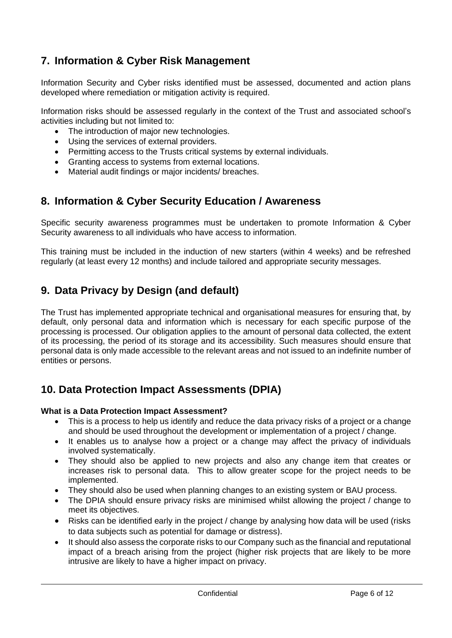# <span id="page-5-0"></span>**7. Information & Cyber Risk Management**

Information Security and Cyber risks identified must be assessed, documented and action plans developed where remediation or mitigation activity is required.

Information risks should be assessed regularly in the context of the Trust and associated school's activities including but not limited to:

- The introduction of major new technologies.
- Using the services of external providers.
- Permitting access to the Trusts critical systems by external individuals.
- Granting access to systems from external locations.
- <span id="page-5-1"></span>• Material audit findings or major incidents/ breaches.

## **8. Information & Cyber Security Education / Awareness**

Specific security awareness programmes must be undertaken to promote Information & Cyber Security awareness to all individuals who have access to information.

<span id="page-5-2"></span>This training must be included in the induction of new starters (within 4 weeks) and be refreshed regularly (at least every 12 months) and include tailored and appropriate security messages.

# **9. Data Privacy by Design (and default)**

The Trust has implemented appropriate technical and organisational measures for ensuring that, by default, only personal data and information which is necessary for each specific purpose of the processing is processed. Our obligation applies to the amount of personal data collected, the extent of its processing, the period of its storage and its accessibility. Such measures should ensure that personal data is only made accessible to the relevant areas and not issued to an indefinite number of entities or persons.

## <span id="page-5-3"></span>**10. Data Protection Impact Assessments (DPIA)**

### **What is a Data Protection Impact Assessment?**

- This is a process to help us identify and reduce the data privacy risks of a project or a change and should be used throughout the development or implementation of a project / change.
- It enables us to analyse how a project or a change may affect the privacy of individuals involved systematically.
- They should also be applied to new projects and also any change item that creates or increases risk to personal data. This to allow greater scope for the project needs to be implemented.
- They should also be used when planning changes to an existing system or BAU process.
- The DPIA should ensure privacy risks are minimised whilst allowing the project / change to meet its objectives.
- Risks can be identified early in the project / change by analysing how data will be used (risks) to data subjects such as potential for damage or distress).
- It should also assess the corporate risks to our Company such as the financial and reputational impact of a breach arising from the project (higher risk projects that are likely to be more intrusive are likely to have a higher impact on privacy.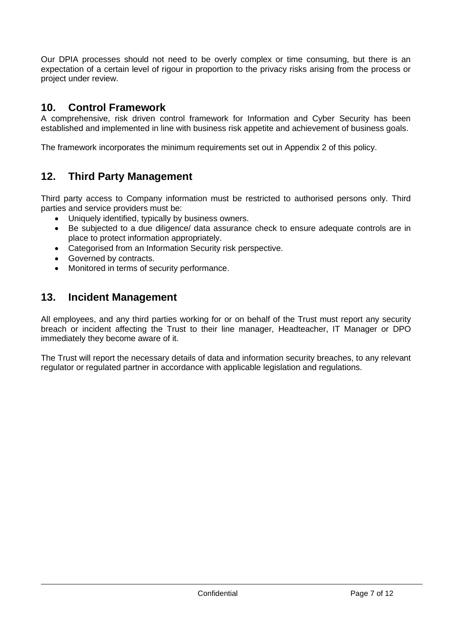Our DPIA processes should not need to be overly complex or time consuming, but there is an expectation of a certain level of rigour in proportion to the privacy risks arising from the process or project under review.

## <span id="page-6-0"></span>**10. Control Framework**

A comprehensive, risk driven control framework for Information and Cyber Security has been established and implemented in line with business risk appetite and achievement of business goals.

<span id="page-6-1"></span>The framework incorporates the minimum requirements set out in Appendix 2 of this policy.

# **12. Third Party Management**

Third party access to Company information must be restricted to authorised persons only. Third parties and service providers must be:

- Uniquely identified, typically by business owners.
- Be subjected to a due diligence/ data assurance check to ensure adequate controls are in place to protect information appropriately.
- Categorised from an Information Security risk perspective.
- Governed by contracts.
- <span id="page-6-2"></span>• Monitored in terms of security performance.

## **13. Incident Management**

All employees, and any third parties working for or on behalf of the Trust must report any security breach or incident affecting the Trust to their line manager, Headteacher, IT Manager or DPO immediately they become aware of it.

The Trust will report the necessary details of data and information security breaches, to any relevant regulator or regulated partner in accordance with applicable legislation and regulations.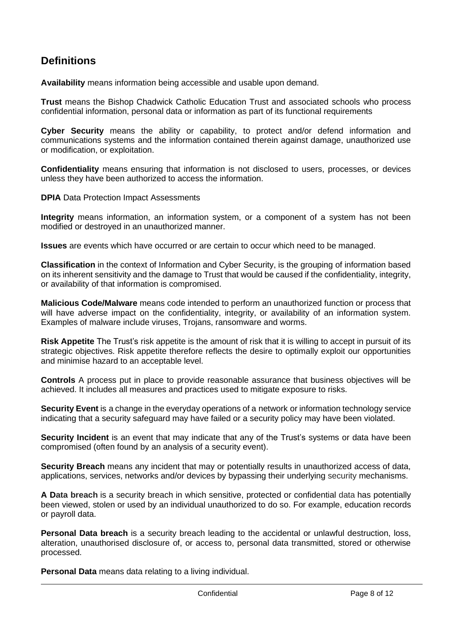# <span id="page-7-0"></span>**Definitions**

**Availability** means information being accessible and usable upon demand.

**Trust** means the Bishop Chadwick Catholic Education Trust and associated schools who process confidential information, personal data or information as part of its functional requirements

**Cyber Security** means the ability or capability, to protect and/or defend information and communications systems and the information contained therein against damage, unauthorized use or modification, or exploitation.

**Confidentiality** means ensuring that information is not disclosed to users, processes, or devices unless they have been authorized to access the information.

**DPIA Data Protection Impact Assessments** 

**Integrity** means information, an information system, or a component of a system has not been modified or destroyed in an unauthorized manner.

**Issues** are events which have occurred or are certain to occur which need to be managed.

**Classification** in the context of Information and Cyber Security, is the grouping of information based on its inherent sensitivity and the damage to Trust that would be caused if the confidentiality, integrity, or availability of that information is compromised.

**Malicious Code/Malware** means code intended to perform an unauthorized function or process that will have adverse impact on the confidentiality, integrity, or availability of an information system. Examples of malware include viruses, Trojans, ransomware and worms.

**Risk Appetite** The Trust's risk appetite is the amount of risk that it is willing to accept in pursuit of its strategic objectives. Risk appetite therefore reflects the desire to optimally exploit our opportunities and minimise hazard to an acceptable level.

**Controls** A process put in place to provide reasonable assurance that business objectives will be achieved. It includes all measures and practices used to mitigate exposure to risks.

**Security Event** is a change in the everyday operations of a network or information technology service indicating that a security safeguard may have failed or a security policy may have been violated.

**Security Incident** is an event that may indicate that any of the Trust's systems or data have been compromised (often found by an analysis of a security event).

**Security Breach** means any incident that may or potentially results in unauthorized access of data, applications, services, networks and/or devices by bypassing their underlying security mechanisms.

**A Data breach** is a security breach in which sensitive, protected or confidential data has potentially been viewed, stolen or used by an individual unauthorized to do so. For example, education records or payroll data.

**Personal Data breach** is a security breach leading to the accidental or unlawful destruction, loss, alteration, unauthorised disclosure of, or access to, personal data transmitted, stored or otherwise processed.

**Personal Data** means data relating to a living individual.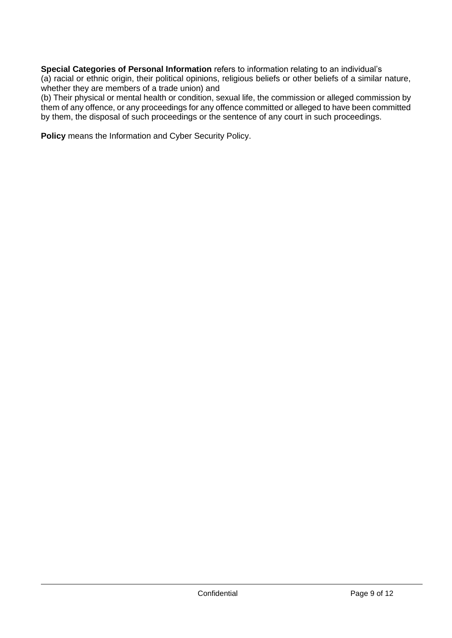**Special Categories of Personal Information** refers to information relating to an individual's (a) racial or ethnic origin, their political opinions, religious beliefs or other beliefs of a similar nature, whether they are members of a trade union) and

(b) Their physical or mental health or condition, sexual life, the commission or alleged commission by them of any offence, or any proceedings for any offence committed or alleged to have been committed by them, the disposal of such proceedings or the sentence of any court in such proceedings.

**Policy** means the Information and Cyber Security Policy.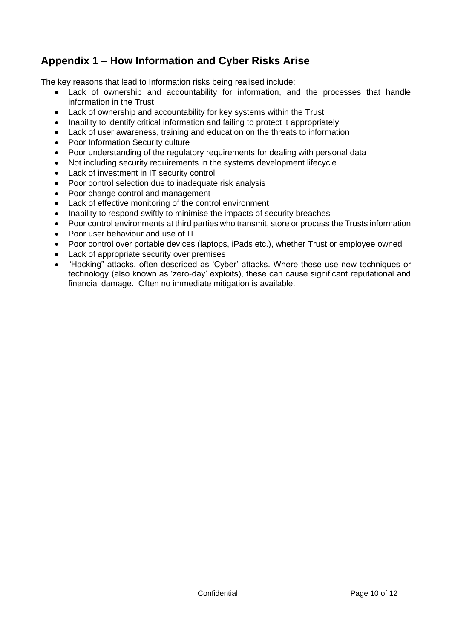# <span id="page-9-0"></span>**Appendix 1 – How Information and Cyber Risks Arise**

The key reasons that lead to Information risks being realised include:

- Lack of ownership and accountability for information, and the processes that handle information in the Trust
- Lack of ownership and accountability for key systems within the Trust
- Inability to identify critical information and failing to protect it appropriately
- Lack of user awareness, training and education on the threats to information
- Poor Information Security culture
- Poor understanding of the regulatory requirements for dealing with personal data
- Not including security requirements in the systems development lifecycle
- Lack of investment in IT security control
- Poor control selection due to inadequate risk analysis
- Poor change control and management
- Lack of effective monitoring of the control environment
- Inability to respond swiftly to minimise the impacts of security breaches
- Poor control environments at third parties who transmit, store or process the Trusts information
- Poor user behaviour and use of IT
- Poor control over portable devices (laptops, iPads etc.), whether Trust or employee owned
- Lack of appropriate security over premises
- "Hacking" attacks, often described as 'Cyber' attacks. Where these use new techniques or technology (also known as 'zero-day' exploits), these can cause significant reputational and financial damage. Often no immediate mitigation is available.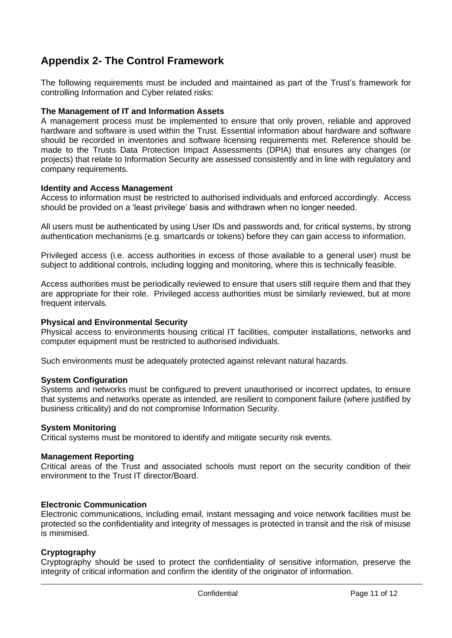# <span id="page-10-0"></span>**Appendix 2- The Control Framework**

The following requirements must be included and maintained as part of the Trust's framework for controlling Information and Cyber related risks:

### **The Management of IT and Information Assets**

A management process must be implemented to ensure that only proven, reliable and approved hardware and software is used within the Trust. Essential information about hardware and software should be recorded in inventories and software licensing requirements met. Reference should be made to the Trusts Data Protection Impact Assessments (DPIA) that ensures any changes (or projects) that relate to Information Security are assessed consistently and in line with regulatory and company requirements.

### **Identity and Access Management**

Access to information must be restricted to authorised individuals and enforced accordingly. Access should be provided on a 'least privilege' basis and withdrawn when no longer needed.

All users must be authenticated by using User IDs and passwords and, for critical systems, by strong authentication mechanisms (e.g. smartcards or tokens) before they can gain access to information.

Privileged access (i.e. access authorities in excess of those available to a general user) must be subject to additional controls, including logging and monitoring, where this is technically feasible.

Access authorities must be periodically reviewed to ensure that users still require them and that they are appropriate for their role. Privileged access authorities must be similarly reviewed, but at more frequent intervals.

#### **Physical and Environmental Security**

Physical access to environments housing critical IT facilities, computer installations, networks and computer equipment must be restricted to authorised individuals.

Such environments must be adequately protected against relevant natural hazards.

#### **System Configuration**

Systems and networks must be configured to prevent unauthorised or incorrect updates, to ensure that systems and networks operate as intended, are resilient to component failure (where justified by business criticality) and do not compromise Information Security.

#### **System Monitoring**

Critical systems must be monitored to identify and mitigate security risk events.

#### **Management Reporting**

Critical areas of the Trust and associated schools must report on the security condition of their environment to the Trust IT director/Board.

#### **Electronic Communication**

Electronic communications, including email, instant messaging and voice network facilities must be protected so the confidentiality and integrity of messages is protected in transit and the risk of misuse is minimised.

### **Cryptography**

Cryptography should be used to protect the confidentiality of sensitive information, preserve the integrity of critical information and confirm the identity of the originator of information.